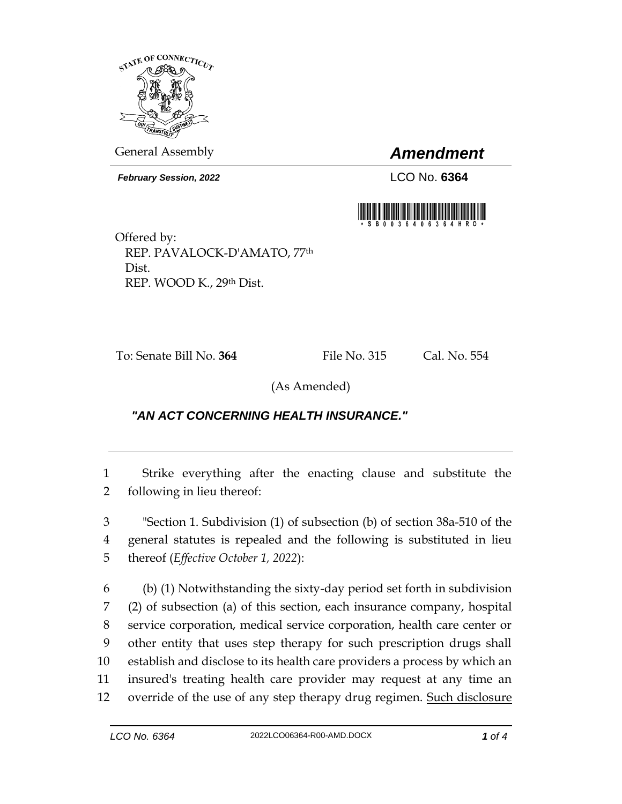

General Assembly *Amendment*

*February Session, 2022* LCO No. **6364**



Offered by: REP. PAVALOCK-D'AMATO, 77th Dist. REP. WOOD K., 29th Dist.

To: Senate Bill No. **364** File No. 315 Cal. No. 554

(As Amended)

## *"AN ACT CONCERNING HEALTH INSURANCE."*

1 Strike everything after the enacting clause and substitute the 2 following in lieu thereof:

3 "Section 1. Subdivision (1) of subsection (b) of section 38a-510 of the 4 general statutes is repealed and the following is substituted in lieu 5 thereof (*Effective October 1, 2022*):

 (b) (1) Notwithstanding the sixty-day period set forth in subdivision (2) of subsection (a) of this section, each insurance company, hospital service corporation, medical service corporation, health care center or other entity that uses step therapy for such prescription drugs shall establish and disclose to its health care providers a process by which an insured's treating health care provider may request at any time an 12 override of the use of any step therapy drug regimen. Such disclosure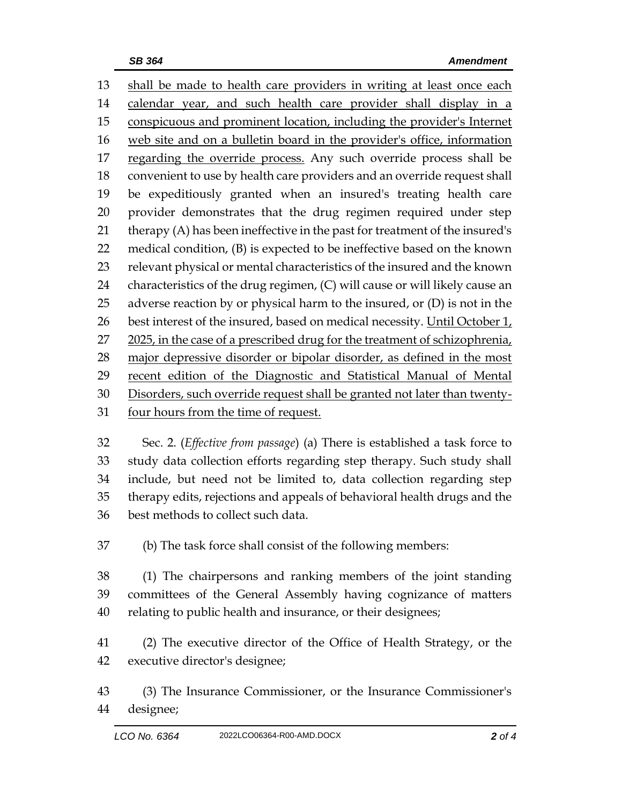shall be made to health care providers in writing at least once each 14 calendar year, and such health care provider shall display in a conspicuous and prominent location, including the provider's Internet web site and on a bulletin board in the provider's office, information 17 regarding the override process. Any such override process shall be convenient to use by health care providers and an override request shall be expeditiously granted when an insured's treating health care provider demonstrates that the drug regimen required under step therapy (A) has been ineffective in the past for treatment of the insured's medical condition, (B) is expected to be ineffective based on the known relevant physical or mental characteristics of the insured and the known characteristics of the drug regimen, (C) will cause or will likely cause an 25 adverse reaction by or physical harm to the insured, or  $(D)$  is not in the 26 best interest of the insured, based on medical necessity. Until October  $1_t$ 27 2025, in the case of a prescribed drug for the treatment of schizophrenia, 28 major depressive disorder or bipolar disorder, as defined in the most recent edition of the Diagnostic and Statistical Manual of Mental Disorders, such override request shall be granted not later than twenty-four hours from the time of request.

 Sec. 2. (*Effective from passage*) (a) There is established a task force to study data collection efforts regarding step therapy. Such study shall include, but need not be limited to, data collection regarding step therapy edits, rejections and appeals of behavioral health drugs and the best methods to collect such data.

(b) The task force shall consist of the following members:

 (1) The chairpersons and ranking members of the joint standing committees of the General Assembly having cognizance of matters relating to public health and insurance, or their designees;

 (2) The executive director of the Office of Health Strategy, or the executive director's designee;

 (3) The Insurance Commissioner, or the Insurance Commissioner's designee;